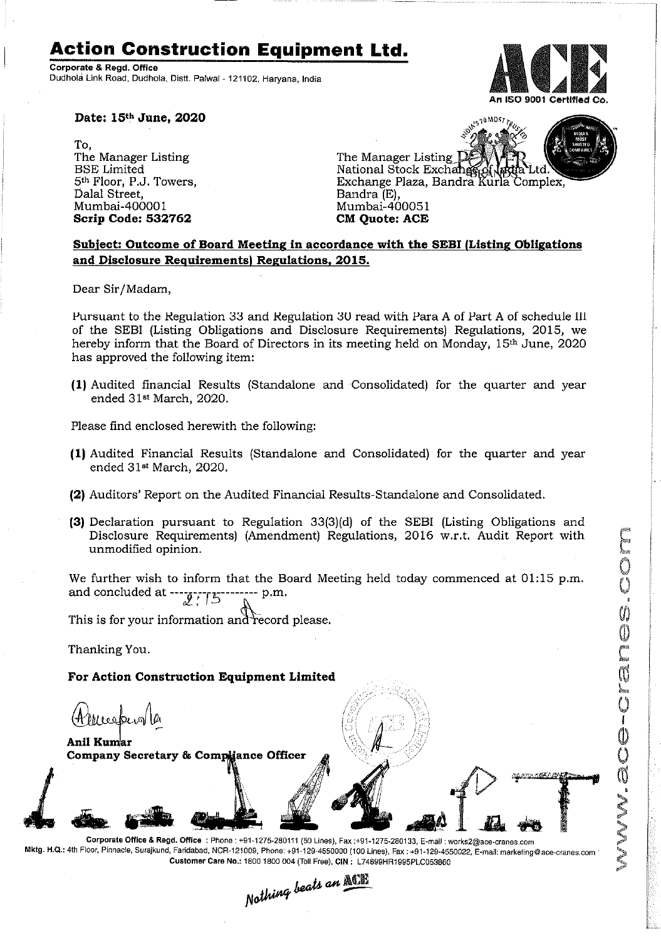## **Action Construction Equipment Ltd.**

Corporate & Regd. Office Dudhola Link Road. Dudhola, Distt. Palwal- 121102, Haryana, India



Childe Color

NN. aC

**Date: 15th June, 2020**

To, The Manager Listing BSE Limited 5th Floor, P.J. Towers, Dalal Street, Mumbai-40000 1 **Scrip Code: 532762**



## **Subject: Outcome of Board Meeting in accordance with the SEBI (Listing Obligations and Disclosure Requirements, Regulations, 2015.**

Dear Sir/Madam,

Pursuant to the Regulation 33 and Regulation 3U read with Para A of Part A of schedule 111 of the SEBI (Listing Obligations and Disclosure Requirements) Regulations, 2015, we hereby inform that the Board of Directors in its meeting held on Monday, 15<sup>th</sup> June, 2020 has approved the following item:

**(1)** Audited financial Results (Standalone and Consolidated) for the quarter and year ended 31st March, 2020.

Please find enclosed herewith the following:

- **(1)** Audited Financial Results (Standalone and Consolidated) for the quarter and year ended 31st March, 2020.
- **(2)** Auditors' Report on the Audited Financial Results-Standalone and Consolidated.
- **(3)** Declaration pursuant to Regulation 33(3)(d) of the SEBI (Listing Obligations and Disclosure Requirements) (Amendment) Regulations, 2016 w.r.t. Audit Report with unmodified opinion.

We further wish to inform that the Board Meeting held today commenced at  $01:15$  p.m. and concluded at ----<sub>*----------------* p.m.</sub> *CJl\_.. f ,,) ~*

This is for your information and record please.

Thanking You.

**For Action Construction Equipment Limited**

Meeban

~~~ **Anil KUll11ar ~ Company Secretary & Compliance Officer** 

 $_{heat}$  an  $_{\Delta\Xi}$ *N~~'" ---*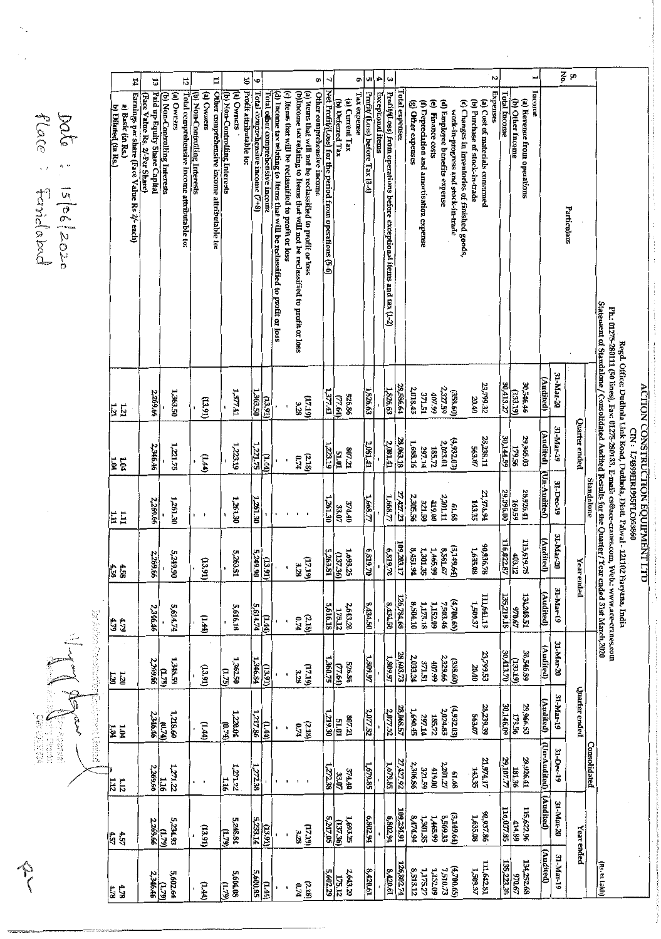|                                    | Ē                           |
|------------------------------------|-----------------------------|
|                                    |                             |
| $\sim$ $\sim$ $\sim$ $\sim$ $\sim$ | <b>LOUIS LIGHT DURICATE</b> |
| i<br>C GOOGLE                      |                             |
|                                    | .                           |
|                                    |                             |

 $\frac{6}{2}$  o Ľ  $\boldsymbol{\kappa}$ ದ 12 H  $\mathfrak{g}$ œ G, oı, IJ Ġ Paid up Equity Share Capital Other comprehensive income attributable to: Total comprehensive income (7+8) Net Prafit/(Loss) for the period from operations (5-6) **Exceptional items** Expenses **Income** Profit/Al.oss) from operations before exceptional items and tax (1-2) Earnings per share (Face Value Rs 2/- each) (b) Non-Controlling Interests Total comprehensive income attributable to: (b) Non-Controlling Interests (b) Non-Controlling Interests (a) Owners Profit attributable to: (d) Incame tax relating to Items that will be reclassified to profit or loss (c) Items that will be reclassified to profit or loss (a) Items that will not be reclassified to profit or loss<br>(b) Items that will not be reclassified to profit or loss Other comprehensive income Tax expense Profit/ (Loss) before Tax (3-4) (a) Owrers (a) Ovvriers Total other comprehensive income **Total Income** (Face Value Rs. 2/-Per Share) **lotal** expenses (a) Kevenue from operations<br>(b) Other Income (a) Current Tax (g) Other expenses (e) Finance costs (d) Employee benefits expense (c) Changes in inventories of finished goods (b) Furchase of stock-in-trade (a) Cost of materials consumed (b) Deferred Tax (f) Depreciation and amortisation expense b) Diluted (in Rs.) a) Basic (in Rs.) work-in-progress and stock-in-trade Particulars Statement of Standalone / Consolidated Audited Results for the Quarter / Year ended 31st March 2020 Ph.: 01275-280111 (50 lines), Fax: 01275-280133. E-neali: cs@ace-cranes.com, Web.: www.ace-cranes.com Regd. Office: Dudhola Link Road, Dudhola, Distt. Palwal - 121102 Haryana, India 31-Mar-20 (Audited) 30,413.27 23,799.32 30,546.46 28,586.64 1,826.63 1,826.63  $(358.60)$  $T^* {\cal L L} {\cal L}^{\prime} {\cal L}$ 2,018.43 1,363.50 371.51 2,269.66 1,377.41 66'Z0F 1,363.50 726.86 20.40  $\frac{(17.19)}{3.28}$  $(13.91)$  $(13.91)$  $\frac{1}{21}$ Quarter ended 31-Mar-19 (Audited) (Un-Audited) 59,965.03<br>ED.598,05 28,238.11 28,063.18  $(4,932.03$ 30,144.59 2,081.41  $2.081.41$ 1,223.19 1,688.16 2,023.01  $1,221.75$ 185.72<br>297.14 563.07  $1221.75$ 2,346.46  $\frac{807.21}{51.01}$ 223.19 (2.18)<br>0.74  $(\overline{t\bar{z}}\cdot\overline{t})$  $(\overline{w}$ <u>ម្រាំ</u><br>ស្រុ 31-Dec-19 **Standalone** 28,926.41 27,427.23 **12,974.94** 29,996.00 2,269.66 1,261.30 1,668.77 1,668.77 2,305.56 2,201.11 169.59 1,261.30 1,261.30 321.59 00'6LF 1,261.30 374.40<br>02.44 143.35 81.68  $\overline{1}$ 보티 31-Mar-20 (Audited) 116,022.87 115,619.75 90,936.78<br>1,635.08 109,203.17 (3,149.64  $0.819.70$ 5,249.90 1,693.25<br>2.599.1  $\frac{6583}{20}$ 8,451.94 8,561.67 5,263.81 1,301.35 1,465.99 5,263.81  $\frac{403.12}{2}$ 5,249.90 2,269.66  $(17.19)$  $(13.91)$  $(13.91)$ **Year** ended 4.58 31-Mar-19  $\begin{array}{c} \textbf{11.13}\ \textbf{13.13}\ \textbf{21.11}\ \textbf{31.13}\ \textbf{32.13}\ \textbf{43.13}\ \textbf{54.13}\ \textbf{65.13}\ \textbf{76.13}\ \textbf{87.13}\ \textbf{98.13}\ \textbf{109.13}\ \textbf{111.13}\ \textbf{121.13}\ \textbf{131.13}\ \textbf{142.13}\ \textbf{153.13}\ \textbf{163.13}\ \textbf{174.13}\ \textbf{185.13}\ \textbf{$ (Audited) 134,248.51 135,219.18 126,784.68 8,434.50 8,434.50 1,175.18<br>8,504.10 1,152.09  $(4,700.65)$ 2,643.20<br>2,75.12 7,503.46 5,616.18 5,614.74 5,616.18  $49026$ 5,614.74 2,346.46 No. 2010 Contraction  $\begin{array}{c} (2.18) \\ 0.74 \end{array}$  $(144)$  $(1.44)$ 4.79 31-Mar-20 (Audited) 23,799.53 30,546.89 28,603.73  $(358.60)$ <br> $2,329.66$ 30,413.70  $\frac{(1.75)}{2,269.66}$ 1,348.59 1,362.50 1,346.84 1,809.97 2,033.24  $(133.19)$ 1,809.97 407.99 371.51 526.86<br>[77.64] 52098  $(17.19)$ <br>3.28 20.40  $(10.91)$  $(13.91)$  $\frac{1}{2}$  $\frac{13}{28}$ Quarter ended 31-Mar-19 policity to such the (Audited) [Un-Audited] (Audited)  $28,239.39$ <br> $563.07$ 29,966.53 28,068.57  $(4,932.03)$ <br>2,024.83 30,146.09 2,077.52 2,077.52 1,690.45  $\frac{(0.74)}{2,346.46}$ 1,220.04 1,217.86 179.56 1,218.60 297.14 185.72  $319.30$ 807.21<br>51.01  $(\overline{H}$  $\frac{1}{2}$  $(1.44)$ (218)<br>0.74  $\frac{1}{2}$  $\mathbf{r}$ ï 31-Dec-19 Consolidated Z1,974.17 29,107.77 28,926.41 27,427.92 2,306.86 61.68<br>2,201.27 1,679.85  $rac{127288}{85}$  $1,271.22$  $\frac{1272.38}{2}$ 1,679.85 419.00 181.36  $\overline{u}$ 69 TZE 2,269.66 143.35 374.40<br>33.07  $\frac{11}{12}$  $\frac{1}{116}$ Ιä  $\ddot{\phantom{0}}$ 31-Mar-20 414.89<br>116,037.85 115,622.96 90,937.86<br>1,635.08 109,234.91  $(3,149.64)$ 1,693.25<br>(137.36)<br>5,247.05 6,802.94 6,802.94 16174.8 1,301.35 1,465.99 5233.14 5,234.93 5,243.84 2,269.66  $(17.19)$  $(13.91)$  $(13.91)$  $\overline{w}$  $\overline{w}$ Year ended 457<br>157 (Audited) 31-Mar-19  $\begin{array}{c} \textbf{11.522} \\ \textbf{13.242.81} \end{array}$ 134,252.68 135,223.35 (Rs. In Lakh) 126,802.7 (4,700.65)<br>7,510.73  $8,420.61$ 1,152.09 **5600.85** 8,420.61 8,513.12 2,643.20  $1,175.27$ 5,602.29  $\frac{(1.79)}{2,346.46}$ 5,604.08 5,602.64 70.67  $\frac{175.12}{2}$  $\begin{array}{c} (2.18) \\ 0.74 \end{array}$  $(H,H)$  $\sqrt{1.79}$  $\frac{1}{2}$  $\frac{4.78}{4.78}$ 

flace Date tandabac 15/06/2020

Job Lit ender

 $\hat{\gamma}$ 

**Reading A**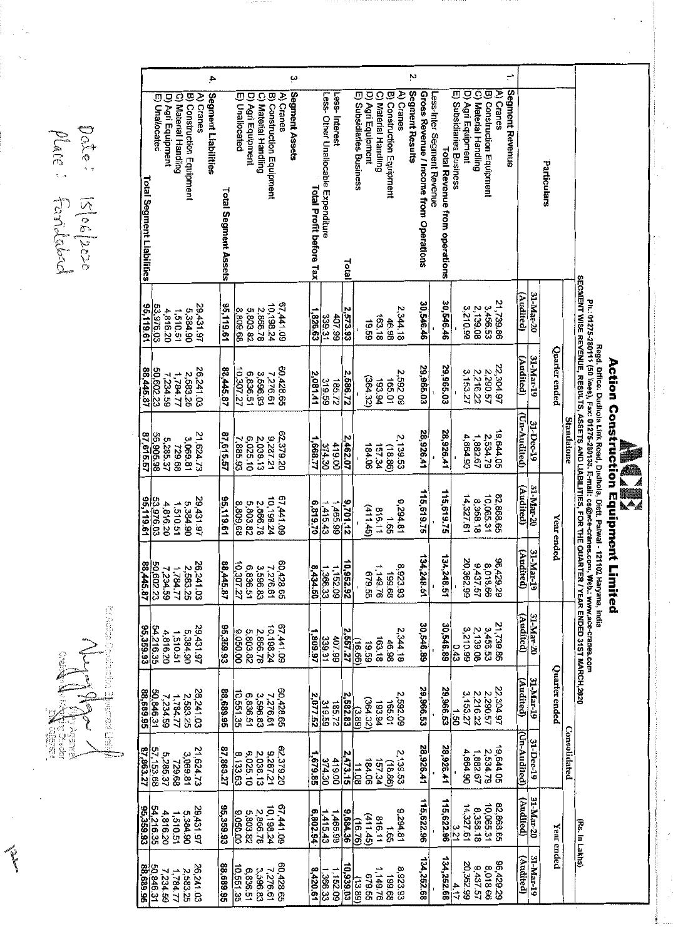Date: Islos/2020<br>Mare: Fanideboch

|                                  |            |                  |                   |                      |                           |           | 4                   |                      |                |                      |                      |                           |           | ىب             |                                |                                     |               |           |                          |                   |                      |                           |           | Ņ               |                                        |                                                                    |                          |                   |                      |                           | ≓                            |                |           |               |              |                                                                                                      |                                                                                                                                                                                         |                                    |                           |
|----------------------------------|------------|------------------|-------------------|----------------------|---------------------------|-----------|---------------------|----------------------|----------------|----------------------|----------------------|---------------------------|-----------|----------------|--------------------------------|-------------------------------------|---------------|-----------|--------------------------|-------------------|----------------------|---------------------------|-----------|-----------------|----------------------------------------|--------------------------------------------------------------------|--------------------------|-------------------|----------------------|---------------------------|------------------------------|----------------|-----------|---------------|--------------|------------------------------------------------------------------------------------------------------|-----------------------------------------------------------------------------------------------------------------------------------------------------------------------------------------|------------------------------------|---------------------------|
| <b>Total Segment Liabilities</b> |            | Φ<br>Unallocatec | D) Agri Equipment | C) Material Handling | B) Construction Equipment | A) Cranes | Segment Liabilities | Total Segment Assets | E) Unallocated | D) Agri Equipment    | C) Material Handling | B) Construction Equipment | A) Cranes | Segment Assets | <b>Total Profit before Tax</b> | Less- Other Unallocable Expenditure | Less-Interest | Total     | E) Subsidiaries Business | D) Agri Equipment | C) Material Handling | B) Construction Equipment | A) Cranes | Segment Results | Gross Revenue / Income from Operations | Less-Inter Segment Revenue<br><b>Total Revenue from operations</b> | E) Subsidiaries Business | D) Agri Equipment | C) Material Handling | B) Construction Equipment | Segment Revenue<br>A) Cranes |                |           | Particulars   |              |                                                                                                      |                                                                                                                                                                                         |                                    |                           |
| 95.119.61                        | 53,976.03  |                  | 4,816.20          | 1,510.51             | 5,384.90                  | 29,431.97 |                     | 95,119.61            | 8,809.68       | 5,803.82             | 2,866.78             | 10,198.24                 | 67 441.09 |                | 1,826.63                       | 339.31                              | 407.99        | 2,573.93  |                          | 19.59             | 163.18               | 46.98                     | 2,344.18  |                 | 30.546.46                              | 30.546.46                                                          |                          | 3210.99           | 2,139.08             | 3,456.53                  | 21,739.86                    | <b>Audited</b> | 31-Mar-20 |               |              | SEGMENT WISE REVENUE, RESULTS, ASSETS AND LIABILITIES, FOR THE QUARTER / YEAR ENDED 31ST MARCH, 2020 |                                                                                                                                                                                         |                                    |                           |
| 88,445.87                        | 50,602.23  |                  | 7,234.59          | 1,784.77             | 2,583.25                  | 26,241.03 |                     | 88,445.87            | 10,307.27      | 6,836.51             | 3,596.83             | 7,276.61                  | 60,428.65 |                | 2,081.41                       | 319.59                              | 185.72        | 2,586.72  |                          | (364.32)          | 193.94               | 165.01                    | 2,592.09  |                 | 29,965.03                              | 29,965.03                                                          |                          | 3,153.27          | 2,216.22             | 2,290.57                  | 22,304.97                    | (Audited)      | 31-Mar-19 | Quarter ended |              |                                                                                                      |                                                                                                                                                                                         |                                    |                           |
| 87,615.57                        | 56,905.98  |                  | 5,285.37          | 729.68               | 3,069.81                  | 21,624.73 |                     | 87,615.57            |                | 6,025.10<br>7,885.93 | 2,038.13             | 9,287.21                  | 62,379.20 |                | 1,668.77                       | 374.30                              | 419.00        | 2,462.07  |                          | 184.06            | 157.34               | (18.86)                   | 2,139.53  |                 | 28,926.41                              | 28,926.41                                                          |                          | 4,864.90          | 1,882.67             | 2,534.79                  | 19,644.05                    | (Un-Audited)   | 31-Dec-19 |               | Standalone   |                                                                                                      |                                                                                                                                                                                         |                                    |                           |
| 95,119.61                        | 53,976.03  |                  | 4,816.20          | 1,510.51             | 5,384.90                  | 29,431.97 |                     | 95,119.61            | 8,809.68       | 5,803.82             | 2,866.78             | 10,198.24                 | 67,441.09 |                | 6,819.70                       | 1,415,43                            | 1,465.99      | 9,701.12  |                          | (411.45)          | 816.11               | 1.65                      | 9,294.81  |                 | 115,619.75                             | 115,619.75                                                         |                          | 14,327.61         | 8,358.18             | 10,065.31                 | 82,868.65                    | (Audited)      | 31-Mar-20 | Year ended    |              |                                                                                                      | Ph.: 01275-280111 (50 lines), Fax: 01275-280133. E-mail: cs@ace-cranes.com, Web.: www.ace-cranes.com<br>Regd. Office: Dudhola Link Road, Dudhola, Distt. Palwal - 121102 Haryana, India | <b>Action Construction Equipme</b> | $\mathbb{A}_{\mathbb{A}}$ |
| 88,445.87                        | 50,602.23  |                  | 7,234.59          | 1,784.77             | 2,583.25                  | 26,241.03 |                     | 88,445.87            | 10,307.27      | 6,836.51             | 3,596.83             | 7,276.61                  | 60,428.65 |                | 8,434.50                       | 1,366.33                            | 1,152.09      | 10,952.92 |                          | 679.55            | 1,149.76             | 89'68                     | 8,923.93  |                 | 134,248.51                             | 134,248.51                                                         |                          | 20,362.99         | 9,437.57             | 8,018.66                  | 96,429.29                    | (Audited)      | 31 Mar-19 |               |              |                                                                                                      |                                                                                                                                                                                         | nt Limited                         |                           |
| 95,359.93                        | 54,216.35  | 4,816.20         |                   | 1,510.51             | 5,384.90                  | 29,431.97 |                     | 95,359.93            | 9,050.00       | 5,803.82             | 2,866.78             | 10,198.24                 | 67,441.09 |                | 1,809.97                       | $\frac{339.31}{2}$                  | 66'10P        | 2,557.27  | (16.66)                  | 19.59             | 163.18               | 46.98                     | 2,344.18  |                 | 30,546.89                              | 30,546.89                                                          | 0.43                     | 3,210.99          | 2,139.08             | 3,456.53                  | 21,739.86                    | (Audited)      | 31 Mar-20 |               |              |                                                                                                      |                                                                                                                                                                                         |                                    |                           |
| 56'689.95                        | 50,846.31  | 7,234.59         |                   | 1784.77              | 2.583.25                  | 26,241.03 |                     | 88,689.95            | 10,551.35      | 6,836.51             | 3,596.83             | 7,276.61                  | 60,428.65 |                | 2,077.52                       | 319.59                              | 185.72        | 2,582.83  | (3.89)                   | (364.32)          | 193.94               | 165.01                    | 2,592.09  |                 | 29,966.53                              | 29,966.53                                                          | $\frac{1}{20}$           | 3,153.27          | 2,216.22             | 2,290.57                  | 22.304.97                    | (Audited)      | 31-Mar-19 | Quarter ended |              |                                                                                                      |                                                                                                                                                                                         |                                    |                           |
| 87,863.27                        | 57, 153.68 | 5,285.37         |                   | 729.68               | 3,069.81                  | 21,624.73 |                     | 87,863.27            | 8,133.63       | 2,038.13<br>6,025.10 |                      | 1287.21                   | 62,379.20 |                | 1,679.85                       | 374.30                              | 419.00        | 2,473.15  | 11.08                    | 184.06            | 157.34               | (18.86)                   | 2,139.53  |                 | 28,926.41                              | 28,926.41                                                          |                          | 4,864.90          | 1,882.67             | 2,534.79                  | 19,644.05                    | (Un-Audited)   | 31-Dec-19 |               | Consolidated |                                                                                                      |                                                                                                                                                                                         |                                    |                           |
| 95,359.93                        | 54,216.35  | 4,816.20         |                   | 1,510.51             | 5,384.90                  | 29,431.97 |                     | 95,359.93            | 9,050.00       | 2,866.78<br>5,803.82 |                      | 10,198.24                 | 67,441.09 |                | 6,802.94                       | 1,415.43                            | 1,465.99      | 9,684.36  | (16.76)                  | (411.45)          | 816.11               | 1.65                      | 9,294.81  |                 | 115,622.96                             | 115,622.96                                                         | ره <br>1 <u>7</u>        | 14,327.61         | 8,358.18             | 10,065.31                 | 82,868.65                    | (Audited)      | 31-Mar-20 | Year ended    |              | (Rs. In Lakhs)                                                                                       |                                                                                                                                                                                         |                                    |                           |
| 88,689.95                        | 50,846.31  | 7,234.59         | 1,784.77          |                      | 2,583.25                  | 26,241.03 |                     | 88,689.95            | 10,551.35      | 6,836.51             | 3,596.83             | 7,276.61                  | 60,428.65 |                | 8,420.61                       | 1,366.33                            | 1,152.09      | 10,939.03 | (13.89)                  | 679.55            | 1,149.76             | 89.68                     | 8,923.93  |                 | 134,252.68                             | 134,252.68                                                         | 4.17                     | 20,362.99         | 9,437.57             | 8,018.66                  | <b>96,429.29</b>             | (Audited)      | 31-Mar-19 |               |              |                                                                                                      |                                                                                                                                                                                         |                                    |                           |

 $\begin{picture}(20,20) \put(0,0){\vector(1,0){10}} \put(15,0){\vector(1,0){10}} \put(15,0){\vector(1,0){10}} \put(15,0){\vector(1,0){10}} \put(15,0){\vector(1,0){10}} \put(15,0){\vector(1,0){10}} \put(15,0){\vector(1,0){10}} \put(15,0){\vector(1,0){10}} \put(15,0){\vector(1,0){10}} \put(15,0){\vector(1,0){10}} \put(15,0){\vector(1,0){10}} \put(15,0){\vector(1$